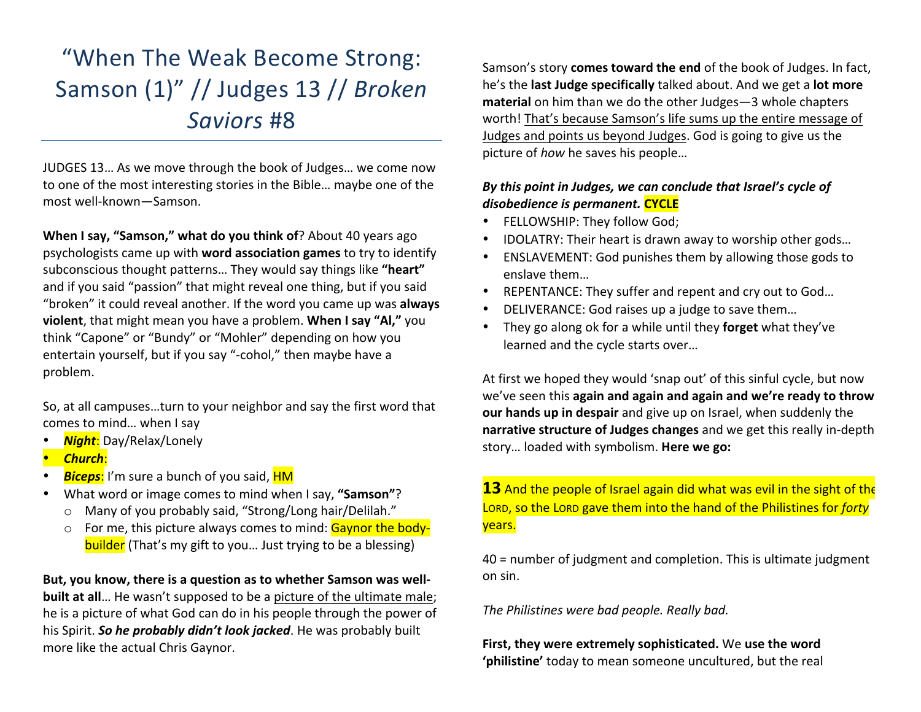# "When The Weak Become Strong: Samson (1)" // Judges 13 // *Broken Saviors* #8

JUDGES 13... As we move through the book of Judges... we come now to one of the most interesting stories in the Bible... maybe one of the most well-known—Samson.

**When I say, "Samson," what do you think of**? About 40 years ago psychologists came up with **word association games** to try to identify subconscious thought patterns... They would say things like "heart" and if you said "passion" that might reveal one thing, but if you said "broken" it could reveal another. If the word you came up was **always violent**, that might mean you have a problem. When I say "AI," you think "Capone" or "Bundy" or "Mohler" depending on how you entertain yourself, but if you say "-cohol," then maybe have a problem.

So, at all campuses...turn to your neighbor and say the first word that comes to mind... when I say

- *Night*: Day/Relax/Lonely
- *Church*:
- **Biceps:** I'm sure a bunch of you said, **HM**
- What word or image comes to mind when I say, "Samson"?
	- o Many of you probably said, "Strong/Long hair/Delilah."
	- o For me, this picture always comes to mind: **Gaynor the bodybuilder** (That's my gift to you... Just trying to be a blessing)

But, you know, there is a question as to whether Samson was well**built at all...** He wasn't supposed to be a picture of the ultimate male; he is a picture of what God can do in his people through the power of his Spirit. So he probably didn't look jacked. He was probably built more like the actual Chris Gaynor.

Samson's story **comes toward the end** of the book of Judges. In fact, he's the last Judge specifically talked about. And we get a lot more **material** on him than we do the other Judges—3 whole chapters worth! That's because Samson's life sums up the entire message of Judges and points us beyond Judges. God is going to give us the picture of *how* he saves his people...

## By this point in Judges, we can conclude that Israel's cycle of *disobedience is permanent.* **CYCLE**

- FELLOWSHIP: They follow God;
- IDOLATRY: Their heart is drawn away to worship other gods...
- ENSLAVEMENT: God punishes them by allowing those gods to enslave them...
- REPENTANCE: They suffer and repent and cry out to God...
- DELIVERANCE: God raises up a judge to save them...
- They go along ok for a while until they **forget** what they've learned and the cycle starts over...

At first we hoped they would 'snap out' of this sinful cycle, but now we've seen this again and again and again and we're ready to throw **our hands up in despair** and give up on Israel, when suddenly the **narrative structure of Judges changes** and we get this really in-depth story... loaded with symbolism. Here we go:

**13** And the people of Israel again did what was evil in the sight of the LORD, so the LORD gave them into the hand of the Philistines for *forty* years.

 $40$  = number of judgment and completion. This is ultimate judgment on sin. 

*The Philistines were bad people. Really bad.* 

**First, they were extremely sophisticated.** We use the word 'philistine' today to mean someone uncultured, but the real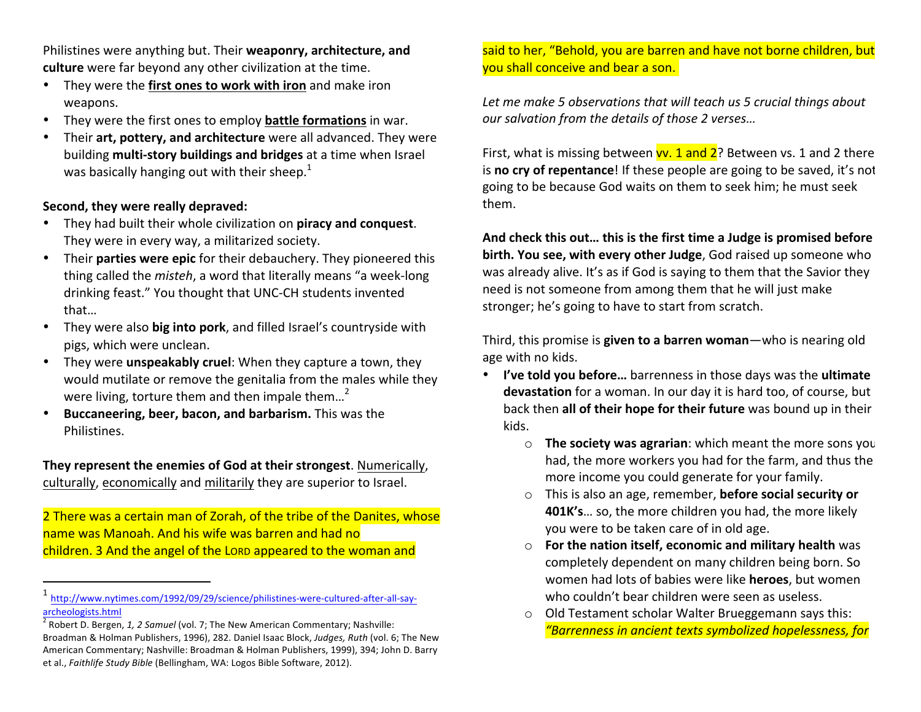Philistines were anything but. Their weaponry, architecture, and culture were far beyond any other civilization at the time.

- They were the first ones to work with iron and make iron weapons.
- They were the first ones to employ **battle formations** in war.
- Their art, pottery, and architecture were all advanced. They were building **multi-story buildings and bridges** at a time when Israel was basically hanging out with their sheep.<sup>1</sup>

### Second, they were really depraved:

 

- They had built their whole civilization on **piracy and conquest**. They were in every way, a militarized society.
- Their **parties were epic** for their debauchery. They pioneered this thing called the *misteh*, a word that literally means "a week-long drinking feast." You thought that UNC-CH students invented that…
- They were also **big into pork**, and filled Israel's countryside with pigs, which were unclean.
- They were *unspeakably cruel*: When they capture a town, they would mutilate or remove the genitalia from the males while they were living, torture them and then impale them...<sup>2</sup>
- **Buccaneering, beer, bacon, and barbarism.** This was the Philistines.

**They** represent the enemies of God at their strongest. Numerically, culturally, economically and militarily they are superior to Israel.

2 There was a certain man of Zorah, of the tribe of the Danites, whose name was Manoah. And his wife was barren and had no children. 3 And the angel of the LORD appeared to the woman and

said to her, "Behold, you are barren and have not borne children, but you shall conceive and bear a son.

*Let me make 5 observations that will teach us 5 crucial things about our salvation from the details of those 2 verses…*

First, what is missing between  $\overline{vv}$ . 1 and  $\overline{2}$ ? Between vs. 1 and 2 there is **no cry of repentance**! If these people are going to be saved, it's not going to be because God waits on them to seek him; he must seek them.

**And check this out… this is the first time a Judge is promised before birth. You see, with every other Judge**, God raised up someone who was already alive. It's as if God is saying to them that the Savior they need is not someone from among them that he will just make stronger; he's going to have to start from scratch.

Third, this promise is **given to a barren woman**—who is nearing old age with no kids.

- **I've told you before…** barrenness in those days was the **ultimate devastation** for a woman. In our day it is hard too, of course, but back then **all of their hope for their future** was bound up in their kids.
	- o **The society was agrarian**: which meant the more sons you had, the more workers you had for the farm, and thus the more income you could generate for your family.
	- o This is also an age, remember, **before social security or 401K's...** so, the more children you had, the more likely you were to be taken care of in old age.
	- $\circ$  **For the nation itself, economic and military health** was completely dependent on many children being born. So women had lots of babies were like **heroes**, but women who couldn't bear children were seen as useless.
	- $\circ$  Old Testament scholar Walter Brueggemann says this: *"Barrenness in ancient texts symbolized hopelessness, for*

<sup>1</sup> http://www.nytimes.com/1992/09/29/science/philistines-were-cultured-after-all-sayarcheologists.html

<sup>&</sup>lt;sup>2</sup> Robert D. Bergen, 1, 2 Samuel (vol. 7; The New American Commentary; Nashville: Broadman & Holman Publishers, 1996), 282. Daniel Isaac Block, *Judges, Ruth* (vol. 6; The New American Commentary; Nashville: Broadman & Holman Publishers, 1999), 394; John D. Barry et al., *Faithlife Study Bible* (Bellingham, WA: Logos Bible Software, 2012).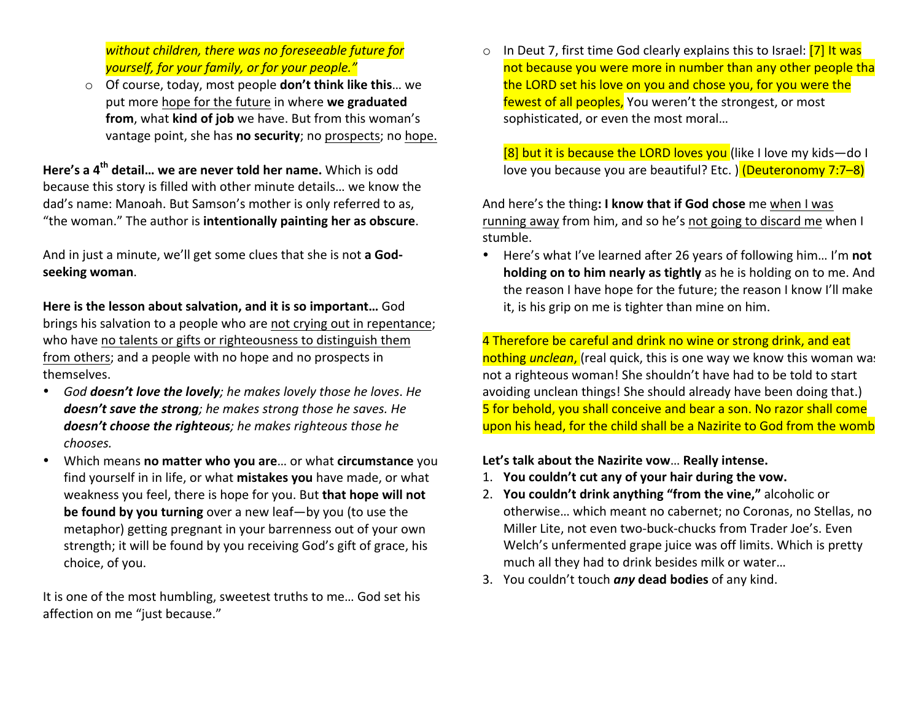**without children, there was no foreseeable future for** *yourself, for your family, or for your people."* 

o Of course, today, most people **don't think like this**... we put more hope for the future in where we graduated **from**, what **kind of job** we have. But from this woman's vantage point, she has **no security**; no prospects; no hope.

**Here's a 4th detail… we are never told her name.** Which is odd because this story is filled with other minute details… we know the dad's name: Manoah. But Samson's mother is only referred to as, "the woman." The author is **intentionally painting her as obscure**.

And in just a minute, we'll get some clues that she is not **a Godseeking woman**.

**Here is the lesson about salvation, and it is so important…** God brings his salvation to a people who are not crying out in repentance; who have no talents or gifts or righteousness to distinguish them from others; and a people with no hope and no prospects in themselves.

- *God doesn't love the lovely; he makes lovely those he loves*. *He doesn't save the strong; he makes strong those he saves. He doesn't choose the righteous; he makes righteous those he chooses.*
- Which means **no matter who you are**… or what **circumstance** you find yourself in in life, or what **mistakes you** have made, or what weakness you feel, there is hope for you. But **that hope will not be found by you turning** over a new leaf—by you (to use the metaphor) getting pregnant in your barrenness out of your own strength; it will be found by you receiving God's gift of grace, his choice, of you.

It is one of the most humbling, sweetest truths to me… God set his affection on me "just because."

o In Deut 7, first time God clearly explains this to Israel: [7] It was not because you were more in number than any other people that the LORD set his love on you and chose you, for you were the fewest of all peoples, You weren't the strongest, or most sophisticated, or even the most moral…

[8] but it is because the LORD loves you (like I love my kids-do I love you because you are beautiful? Etc. ) (Deuteronomy 7:7–8)

And here's the thing**: I know that if God chose** me when I was running away from him, and so he's not going to discard me when I stumble.

• Here's what I've learned after 26 years of following him… I'm **not holding on to him nearly as tightly** as he is holding on to me. And the reason I have hope for the future; the reason I know I'll make it, is his grip on me is tighter than mine on him.

4 Therefore be careful and drink no wine or strong drink, and eat nothing *unclean*, (real quick, this is one way we know this woman was not a righteous woman! She shouldn't have had to be told to start avoiding unclean things! She should already have been doing that.) 5 for behold, you shall conceive and bear a son. No razor shall come upon his head, for the child shall be a Nazirite to God from the womb

#### **Let's talk about the Nazirite vow**… **Really intense.**

- 1. You couldn't cut any of your hair during the vow.
- 2. **You couldn't drink anything "from the vine,"** alcoholic or otherwise... which meant no cabernet; no Coronas, no Stellas, no Miller Lite, not even two-buck-chucks from Trader Joe's. Even Welch's unfermented grape juice was off limits. Which is pretty much all they had to drink besides milk or water...
- 3. You couldn't touch **any dead bodies** of any kind.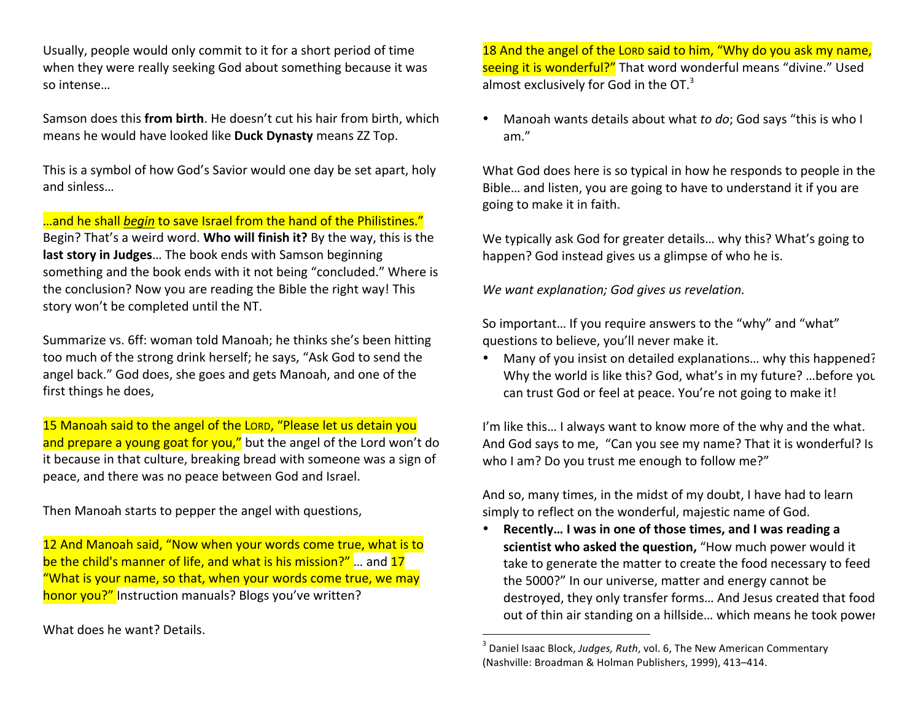Usually, people would only commit to it for a short period of time when they were really seeking God about something because it was so intense...

Samson does this **from birth**. He doesn't cut his hair from birth, which means he would have looked like **Duck Dynasty** means ZZ Top.

This is a symbol of how God's Savior would one day be set apart, holy and sinless…

…and he shall *begin* to save Israel from the hand of the Philistines." Begin? That's a weird word. **Who will finish it?** By the way, this is the

**last story in Judges**… The book ends with Samson beginning something and the book ends with it not being "concluded." Where is the conclusion? Now you are reading the Bible the right way! This story won't be completed until the NT.

Summarize vs. 6ff: woman told Manoah; he thinks she's been hitting too much of the strong drink herself; he says, "Ask God to send the angel back." God does, she goes and gets Manoah, and one of the first things he does,

15 Manoah said to the angel of the LORD, "Please let us detain you and prepare a young goat for you," but the angel of the Lord won't do it because in that culture, breaking bread with someone was a sign of peace, and there was no peace between God and Israel.

Then Manoah starts to pepper the angel with questions,

12 And Manoah said, "Now when your words come true, what is to be the child's manner of life, and what is his mission?" ... and 17 "What is your name, so that, when your words come true, we may honor you?" Instruction manuals? Blogs you've written?

What does he want? Details.

18 And the angel of the LORD said to him, "Why do you ask my name, seeing it is wonderful?" That word wonderful means "divine." Used almost exclusively for God in the OT. $3$ 

• Manoah wants details about what *to do*; God says "this is who I am."

What God does here is so typical in how he responds to people in the Bible… and listen, you are going to have to understand it if you are going to make it in faith.

We typically ask God for greater details… why this? What's going to happen? God instead gives us a glimpse of who he is.

*We want explanation; God gives us revelation.*

So important… If you require answers to the "why" and "what" questions to believe, you'll never make it.

• Many of you insist on detailed explanations… why this happened? Why the world is like this? God, what's in my future? …before you can trust God or feel at peace. You're not going to make it!

I'm like this... I always want to know more of the why and the what. And God says to me, "Can you see my name? That it is wonderful? Is who I am? Do you trust me enough to follow me?"

And so, many times, in the midst of my doubt, I have had to learn simply to reflect on the wonderful, majestic name of God.

• **Recently… I was in one of those times, and I was reading a scientist who asked the question,** "How much power would it take to generate the matter to create the food necessary to feed the 5000?" In our universe, matter and energy cannot be destroyed, they only transfer forms… And Jesus created that food out of thin air standing on a hillside… which means he took power

<sup>&</sup>lt;sup>3</sup> Daniel Isaac Block, *Judges, Ruth*, vol. 6, The New American Commentary (Nashville: Broadman & Holman Publishers, 1999), 413-414.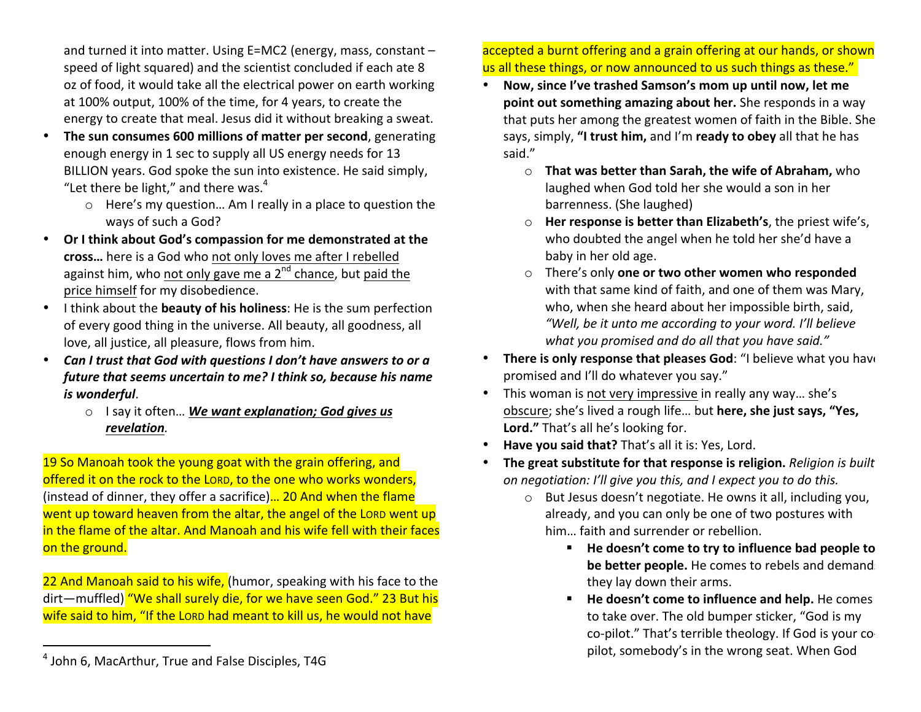and turned it into matter. Using  $E=MC2$  (energy, mass, constant  $$ speed of light squared) and the scientist concluded if each ate 8 oz of food, it would take all the electrical power on earth working at 100% output, 100% of the time, for 4 years, to create the energy to create that meal. Jesus did it without breaking a sweat.

- The sun consumes 600 millions of matter per second, generating enough energy in 1 sec to supply all US energy needs for 13 BILLION years. God spoke the sun into existence. He said simply, "Let there be light," and there was. $4$ 
	- o Here's my question… Am I really in a place to question the ways of such a God?
- **Or I think about God's compassion for me demonstrated at the cross…** here is a God who not only loves me after I rebelled against him, who not only gave me a  $2^{nd}$  chance, but paid the price himself for my disobedience.
- I think about the **beauty of his holiness**: He is the sum perfection of every good thing in the universe. All beauty, all goodness, all love, all justice, all pleasure, flows from him.
- *Can I trust that God with questions I don't have answers to or a future that seems uncertain to me? I think so, because his name is wonderful*.
	- o I say it often… *We want explanation; God gives us revelation.*

19 So Manoah took the young goat with the grain offering, and offered it on the rock to the LORD, to the one who works wonders, (instead of dinner, they offer a sacrifice)… 20 And when the flame went up toward heaven from the altar, the angel of the LORD went up in the flame of the altar. And Manoah and his wife fell with their faces on the ground.

22 And Manoah said to his wife, (humor, speaking with his face to the dirt—muffled) "We shall surely die, for we have seen God." 23 But his wife said to him, "If the LORD had meant to kill us, he would not have

- **Now, since I've trashed Samson's mom up until now, let me point out something amazing about her.** She responds in a way that puts her among the greatest women of faith in the Bible. She says, simply, **"I trust him,** and I'm **ready to obey** all that he has said."
	- o **That was better than Sarah, the wife of Abraham,** who laughed when God told her she would a son in her barrenness. (She laughed)
	- o **Her response is better than Elizabeth's**, the priest wife's, who doubted the angel when he told her she'd have a baby in her old age.
	- o There's only **one or two other women who responded** with that same kind of faith, and one of them was Mary, who, when she heard about her impossible birth, said, *"Well, be it unto me according to your word. I'll believe what you promised and do all that you have said."*
- **There is only response that pleases God**: "I believe what you have promised and I'll do whatever you say."
- This woman is not very impressive in really any way… she's obscure; she's lived a rough life… but **here, she just says, "Yes, Lord."** That's all he's looking for.
- **Have you said that?** That's all it is: Yes, Lord.
- **The great substitute for that response is religion.** *Religion is built on negotiation: I'll give you this, and I expect you to do this.*
	- o But Jesus doesn't negotiate. He owns it all, including you, already, and you can only be one of two postures with him… faith and surrender or rebellion.
		- § **He doesn't come to try to influence bad people to be** better **people.** He comes to rebels and demands they lay down their arms.
		- § **He doesn't come to influence and help.** He comes to take over. The old bumper sticker, "God is my co-pilot." That's terrible theology. If God is your copilot, somebody's in the wrong seat. When God

 

accepted a burnt offering and a grain offering at our hands, or shown us all these things, or now announced to us such things as these."

 $4$  John 6, MacArthur, True and False Disciples, T4G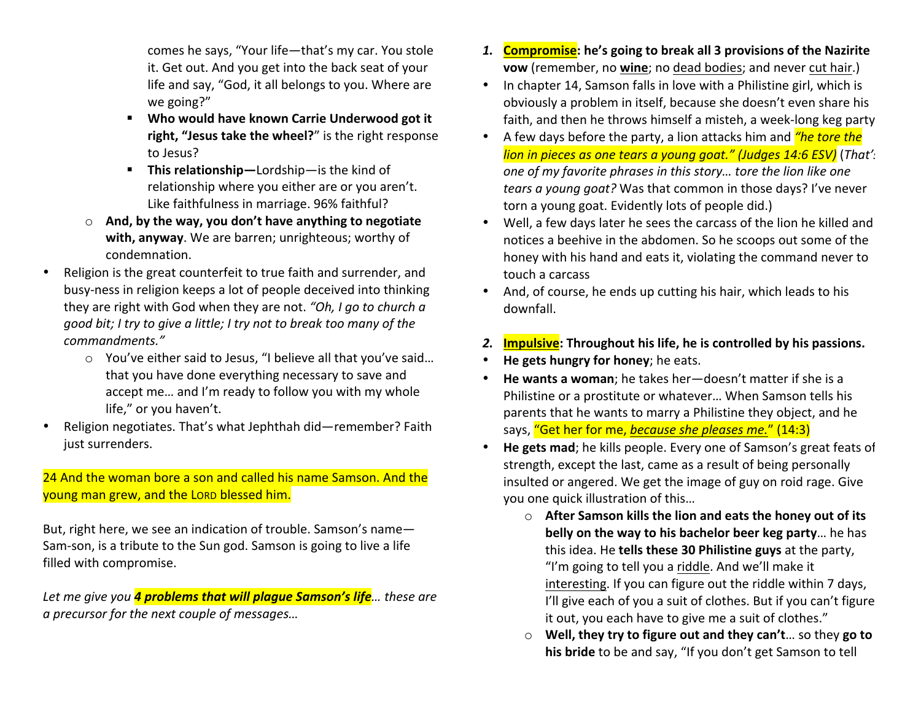comes he says, "Your life—that's my car. You stole it. Get out. And you get into the back seat of your life and say, "God, it all belongs to you. Where are we going?"

- § **Who would have known Carrie Underwood got it right, "Jesus take the wheel?**" is the right response to Jesus?
- § **This relationship—**Lordship—is the kind of relationship where you either are or you aren't. Like faithfulness in marriage. 96% faithful?
- o **And, by the way, you don't have anything to negotiate with, anyway**. We are barren; unrighteous; worthy of condemnation.
- Religion is the great counterfeit to true faith and surrender, and busy-ness in religion keeps a lot of people deceived into thinking they are right with God when they are not. *"Oh, I go to church a good bit; I try to give a little; I try not to break too many of the commandments."*
	- o You've either said to Jesus, "I believe all that you've said… that you have done everything necessary to save and accept me… and I'm ready to follow you with my whole life," or you haven't.
- Religion negotiates. That's what Jephthah did—remember? Faith just surrenders.

## 24 And the woman bore a son and called his name Samson. And the young man grew, and the LORD blessed him.

But, right here, we see an indication of trouble. Samson's name-Sam-son, is a tribute to the Sun god. Samson is going to live a life filled with compromise.

Let me give you **4 problems that will plague Samson's life** ... these are *a precursor for the next couple of messages…*

- *1.* **Compromise: he's going to break all 3 provisions of the Nazirite vow** (remember, no **wine**; no dead bodies; and never cut hair.)
- In chapter 14, Samson falls in love with a Philistine girl, which is obviously a problem in itself, because she doesn't even share his faith, and then he throws himself a misteh, a week-long keg party.
- A few days before the party, a lion attacks him and *"he tore the lion in pieces as one tears a young goat." (Judges 14:6 ESV)* (That's *one of my favorite phrases in this story... tore the lion like one tears a young goat?* Was that common in those days? I've never torn a young goat. Evidently lots of people did.)
- Well, a few days later he sees the carcass of the lion he killed and notices a beehive in the abdomen. So he scoops out some of the honey with his hand and eats it, violating the command never to touch a carcass
- And, of course, he ends up cutting his hair, which leads to his downfall.
- *2.* **Impulsive: Throughout his life, he is controlled by his passions.**
- **He gets hungry for honey**; he eats.
- **He wants a woman**; he takes her—doesn't matter if she is a Philistine or a prostitute or whatever... When Samson tells his parents that he wants to marry a Philistine they object, and he says, "Get her for me, *because she pleases me.*" (14:3)
- He gets mad; he kills people. Every one of Samson's great feats of strength, except the last, came as a result of being personally insulted or angered. We get the image of guy on roid rage. Give you one quick illustration of this...
	- $\circ$  After Samson kills the lion and eats the honey out of its **belly** on the way to his bachelor beer keg party... he has this idea. He **tells these 30 Philistine guys** at the party, "I'm going to tell you a riddle. And we'll make it interesting. If you can figure out the riddle within 7 days, I'll give each of you a suit of clothes. But if you can't figure it out, you each have to give me a suit of clothes."
	- $\circ$  **Well, they try to figure out and they can't**... so they go to his bride to be and say, "If you don't get Samson to tell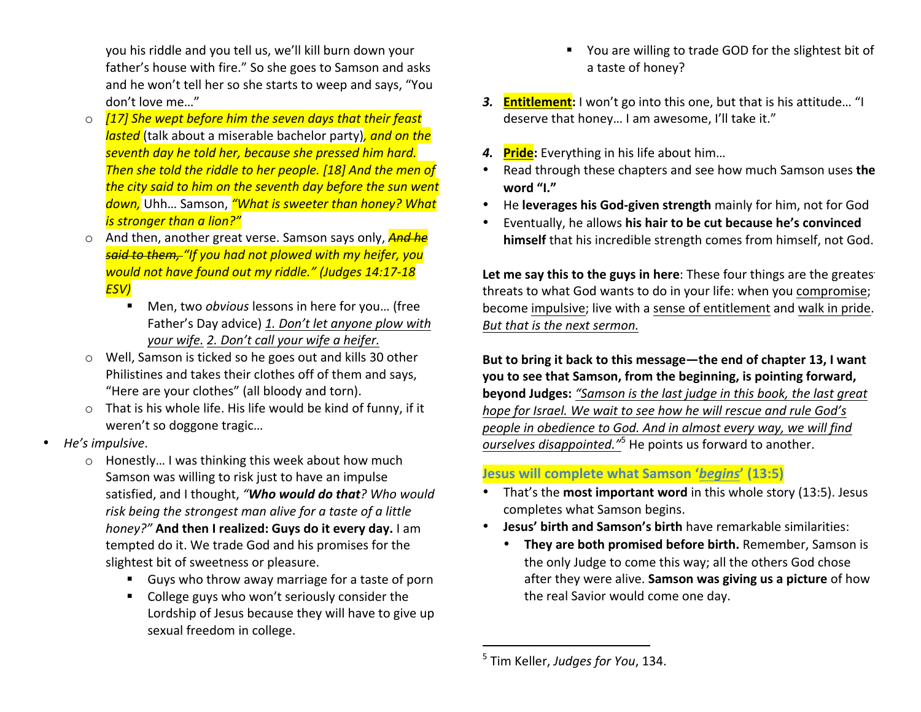you his riddle and you tell us, we'll kill burn down your father's house with fire." So she goes to Samson and asks and he won't tell her so she starts to weep and says, "You don't love me..."

- o **[17] She wept before him the seven days that their feast** *lasted* (talk about a miserable bachelor party), and on the **seventh day he told her, because she pressed him hard. Then she told the riddle to her people.** [18] And the men of *the city said to him on the seventh day before the sun went* down, Uhh... Samson, *"What is sweeter than honey? What is stronger than a lion?"*
- o And then, another great verse. Samson says only, **And he** *said to them, "If you had not plowed with my heifer, you would not have found out my riddle." (Judges 14:17-18 ESV)*
	- Men, two *obvious* lessons in here for you... (free Father's Day advice) 1. Don't let anyone plow with *your* wife. 2. Don't call your wife a heifer.
- $\circ$  Well, Samson is ticked so he goes out and kills 30 other Philistines and takes their clothes off of them and says, "Here are your clothes" (all bloody and torn).
- $\circ$  That is his whole life. His life would be kind of funny, if it weren't so doggone tragic...
- He's impulsive.
	- $\circ$  Honestly... I was thinking this week about how much Samson was willing to risk just to have an impulse satisfied, and I thought, "Who would do that? Who would risk being the strongest man alive for a taste of a little *honey?"* And then I realized: Guys do it every day. I am tempted do it. We trade God and his promises for the slightest bit of sweetness or pleasure.
		- Guys who throw away marriage for a taste of porn
		- College guys who won't seriously consider the Lordship of Jesus because they will have to give up sexual freedom in college.
- You are willing to trade GOD for the slightest bit of a taste of honey?
- **3. Entitlement:** I won't go into this one, but that is his attitude... "I deserve that honey... I am awesome, I'll take it."
- 4. **Pride:** Everything in his life about him...
- Read through these chapters and see how much Samson uses the **word "I."**
- He **leverages his God-given strength** mainly for him, not for God
- Eventually, he allows his hair to be cut because he's convinced himself that his incredible strength comes from himself, not God.

Let me say this to the guys in here: These four things are the greatest threats to what God wants to do in your life: when you compromise; become impulsive; live with a sense of entitlement and walk in pride. *But that is the next sermon.* 

But to bring it back to this message—the end of chapter 13, I want **you to see that Samson, from the beginning, is pointing forward, beyond Judges:** "Samson is the last judge in this book, the last great *hope for Israel. We wait to see how he will rescue and rule God's people in obedience to God. And in almost every way, we will find ourselves disappointed.*<sup>"5</sup> He points us forward to another.

#### **Jesus will complete what Samson '***begins***' (13:5)**

- That's the **most important word** in this whole story (13:5). Jesus completes what Samson begins.
- **Jesus' birth and Samson's birth** have remarkable similarities:
	- **They are both promised before birth.** Remember, Samson is the only Judge to come this way; all the others God chose after they were alive. **Samson was giving us a picture** of how the real Savior would come one day.

 

<sup>&</sup>lt;sup>5</sup> Tim Keller, *Judges for You*, 134.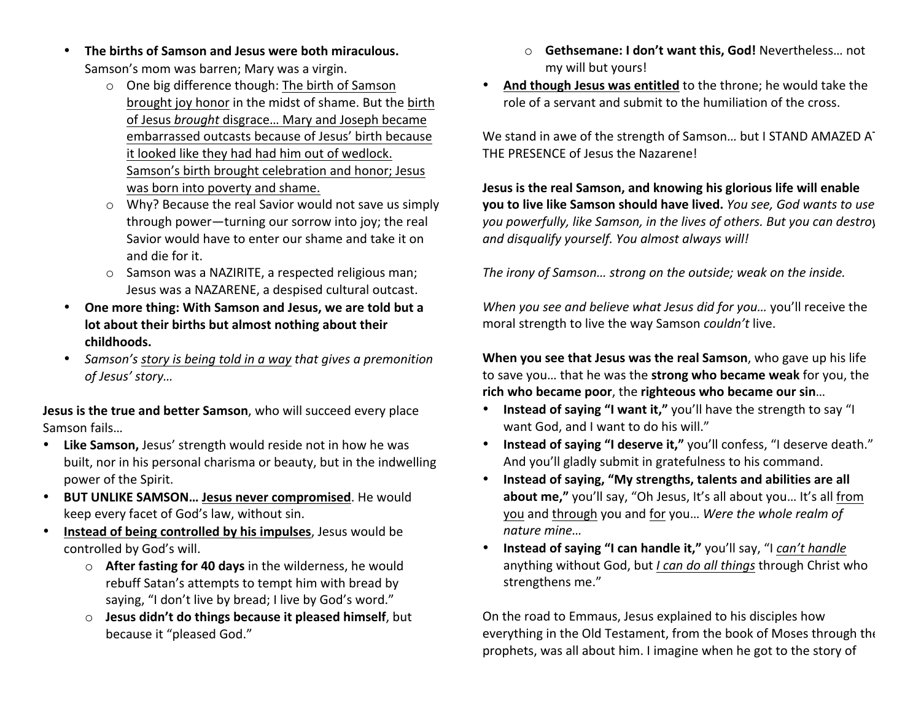- **The births of Samson and Jesus were both miraculous.** Samson's mom was barren; Mary was a virgin.
	- $\circ$  One big difference though: The birth of Samson brought joy honor in the midst of shame. But the birth of Jesus *brought* disgrace... Mary and Joseph became embarrassed outcasts because of Jesus' birth because it looked like they had had him out of wedlock. Samson's birth brought celebration and honor; Jesus was born into poverty and shame.
	- $\circ$  Why? Because the real Savior would not save us simply through power—turning our sorrow into joy; the real Savior would have to enter our shame and take it on and die for it.
	- $\circ$  Samson was a NAZIRITE, a respected religious man; Jesus was a NAZARENE, a despised cultural outcast.
- **One more thing: With Samson and Jesus, we are told but a lot about their births but almost nothing about their childhoods.**
- *Samson's story is being told in a way that gives a premonition of Jesus' story…*

**Jesus is the true and better Samson**, who will succeed every place Samson fails…

- **Like Samson,** Jesus' strength would reside not in how he was built, nor in his personal charisma or beauty, but in the indwelling power of the Spirit.
- **BUT UNLIKE SAMSON… Jesus never compromised**. He would keep every facet of God's law, without sin.
- **Instead of being controlled by his impulses**, Jesus would be controlled by God's will.
	- o **After fasting for 40 days** in the wilderness, he would rebuff Satan's attempts to tempt him with bread by saying, "I don't live by bread; I live by God's word."
	- o **Jesus didn't do things because it pleased himself**, but because it "pleased God."
- o **Gethsemane: I don't want this, God!** Nevertheless… not my will but yours!
- **And though Jesus was entitled** to the throne; he would take the role of a servant and submit to the humiliation of the cross.

We stand in awe of the strength of Samson... but I STAND AMAZED AT THE PRESENCE of Jesus the Nazarene!

**Jesus is the real Samson, and knowing his glorious life will enable you to live like Samson should have lived.** *You see, God wants to use you powerfully, like Samson, in the lives of others. But you can destroy and disqualify yourself. You almost always will!*

*The irony of Samson… strong on the outside; weak on the inside.*

*When you see and believe what Jesus did for you…* you'll receive the moral strength to live the way Samson *couldn't* live.

**When you see that Jesus was the real Samson**, who gave up his life to save you… that he was the **strong who became weak** for you, the **rich who became poor**, the **righteous who became our sin**…

- **Instead of saying "I want it,"** you'll have the strength to say "I want God, and I want to do his will."
- Instead of saying "I deserve it," you'll confess, "I deserve death." And you'll gladly submit in gratefulness to his command.
- Instead of saying, "My strengths, talents and abilities are all **about me,"** you'll say, "Oh Jesus, It's all about you... It's all from you and through you and for you... Were the whole realm of *nature mine…*
- **Instead of saying "I can handle it,"** you'll say, "I can't handle anything without God, but *I can do all things* through Christ who strengthens me."

On the road to Emmaus, Jesus explained to his disciples how everything in the Old Testament, from the book of Moses through the prophets, was all about him. I imagine when he got to the story of